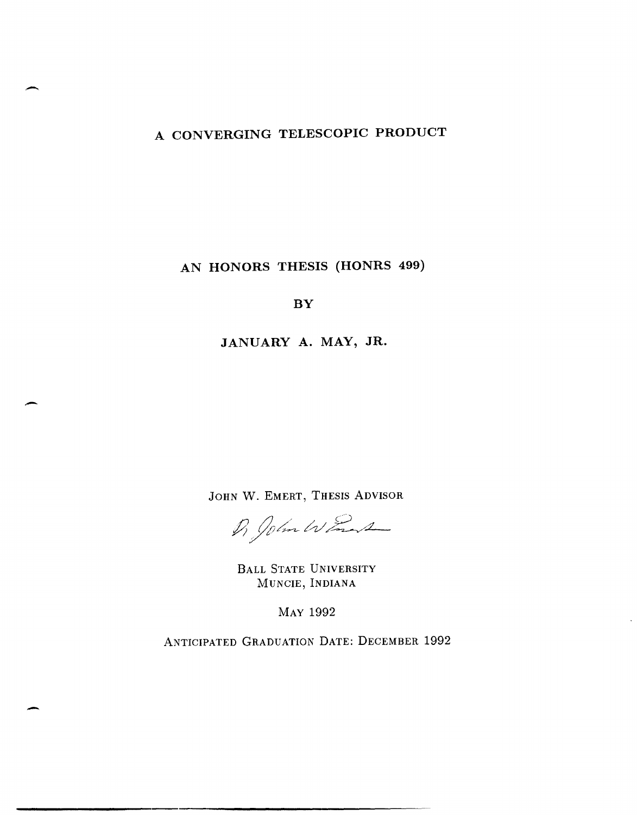# **A CONVERGING TELESCOPIC PRODUCT**

-

-

-

# **AN HONORS THESIS (HONRS 499)**

**BY** 

**JANUARY A. MAY, JR.** 

JOHN W. EMERT, THESIS ADVISOR

Di John Want

BALL STATE UNIVERSITY MUNCIE, INDIANA

MAY 1992

ANTICIPATED GRADUATION DATE: DECEMBER 1992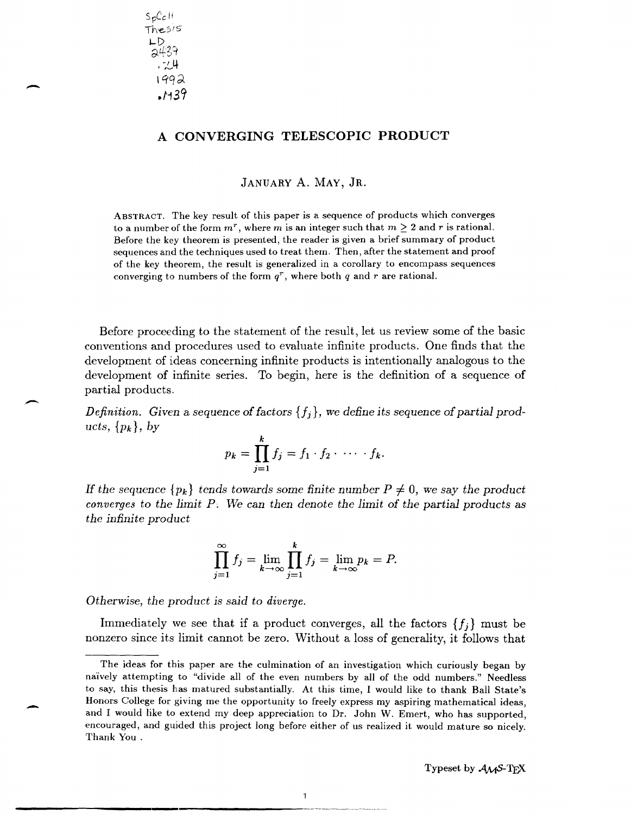$S_{p}C_{c}$ <sub>II</sub> "TheSIS ⊢D\_.  $\sim$ T $\circ$  in  $.724$ 1992 .f139

-

 $\overline{\phantom{0}}$ 

-

# A **CONVERGING TELESCOPIC PRODUCT**

JANUARY A. MAY, JR.

ABSTRACT. The key result of this paper is a sequence of products which converges to a number of the form  $m^r$ , where m is an integer such that  $m \geq 2$  and r is rational. Before the key theorem is presented, the reader is given a brief summary of product sequences and the techniques used to treat them. Then, after the statement and proof of the key theorem, the result is generalized in a corollary to encompass sequences converging to numbers of the form  $q^r$ , where both q and r are rational.

Before proceeding to the statement of the result, let us review some of the basic conventions and procedures used to evaluate infinite products. One finds that the development of ideas concerning infinite products is intentionally analogous to the development of infinite series. To begin, here is the definition of a sequence of partial products.

*Definition. Given* a *sequence of factors {fj}, we define its sequence of partial products,*  $\{p_k\}$ *, by* 

$$
p_k = \prod_{j=1}^k f_j = f_1 \cdot f_2 \cdot \cdots \cdot f_k.
$$

If the sequence  $\{p_k\}$  tends towards some finite number  $P \neq 0$ , we say the product *converges* to *the limit P. 1Ve* can *then denote the limit of the partial products* as *the infinite product* 

$$
\prod_{j=1}^{\infty} f_j = \lim_{k \to \infty} \prod_{j=1}^{k} f_j = \lim_{k \to \infty} p_k = P.
$$

*Otherwise, the product is said* to *diverge.* 

Immediately we see that if a product converges, all the factors  $\{f_j\}$  must be nonzero since its limit cannot be zero. Without a loss of generality, it follows that

 $\overline{\phantom{a}}$ 

The ideas for this paper are the culmination of an investigation which curiously began by naively attempting to "divide all of the even numbers by all of the odd numbers." Needless to say, this thesis has matured substantially. At this time, I would like to thank Ball State's Honors College for giving me the opportunity to freely express my aspiring mathematical ideas, and I would like to extend my deep appreciation to Dr. John W. Emert, who has supported, encouraged, and guided this project long before either of us realized it would mature so nicely. Thank You.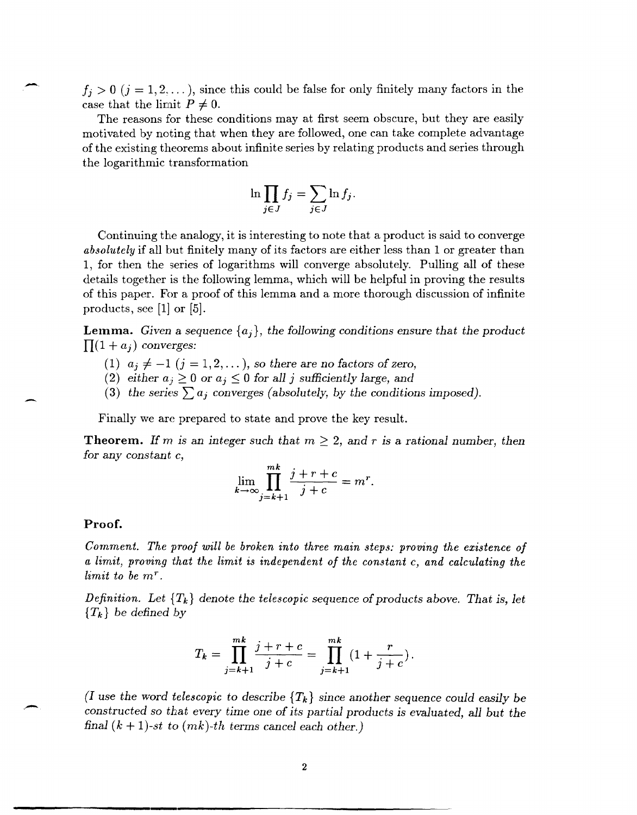$f_i > 0$  ( $j = 1, 2, ...$ ), since this could be false for only finitely many factors in the case that the limit  $P \neq 0$ .

The reasons for these conditions may at first seem obscure, but they are easily motivated by noting that when they are followed, one can take complete advantage of the existing theorems about infinite series by relating products and series through the logarithmic transformation

$$
\ln \prod_{j \in J} f_j = \sum_{j \in J} \ln f_j.
$$

Continuing the analogy, it is interesting to note that a product is said to converge *absolutely* if all but finitely many of its factors are either less than 1 or greater than 1, for then the series of logarithms will converge absolutely. Pulling all of these details together is the following lemma, which will be helpful in proving the results of this paper. For a proof of this lemma and a more thorough discussion of infinite products, see [1] or [5].

**Lemma.** Given a sequence  $\{a_j\}$ , the following conditions ensure that the product  $\prod (1 + a_i)$  *converges:* 

- (1)  $a_j \neq -1$   $(j = 1, 2, ...)$ , *so there are no factors of zero,*
- (2) *either*  $a_j \geq 0$  *or*  $a_j \leq 0$  *for all j sufficiently large, and*
- (3) the series  $\sum a_i$  converges (absolutely, by the conditions imposed).

Finally we are prepared to state and prove the key result.

**Theorem.** If m is an integer such that  $m \geq 2$ , and r is a rational number, then for any *constant* c,

$$
\lim_{k \to \infty} \prod_{j=k+1}^{mk} \frac{j+r+c}{j+c} = m^r.
$$

### **Proof.**

*Comment. The proof will be broken into three main steps: proving the existence of a limit, proving that the limit is independent of the constant* c, *and calculating the limit to be* mr.

*Definition.* Let  $\{T_k\}$  denote the telescopic sequence of products above. That is, let *{Tk} be defined* by

$$
T_k = \prod_{j=k+1}^{mk} \frac{j+r+c}{j+c} = \prod_{j=k+1}^{mk} \left(1 + \frac{r}{j+c}\right).
$$

*(I use the word telescopic to describe*  $\{T_k\}$  *since another sequence could easily be constructed so that every time one* of *its partial products is evaluated, all but the final*  $(k + 1)$ -st to  $(mk)$ -th terms cancel each other.)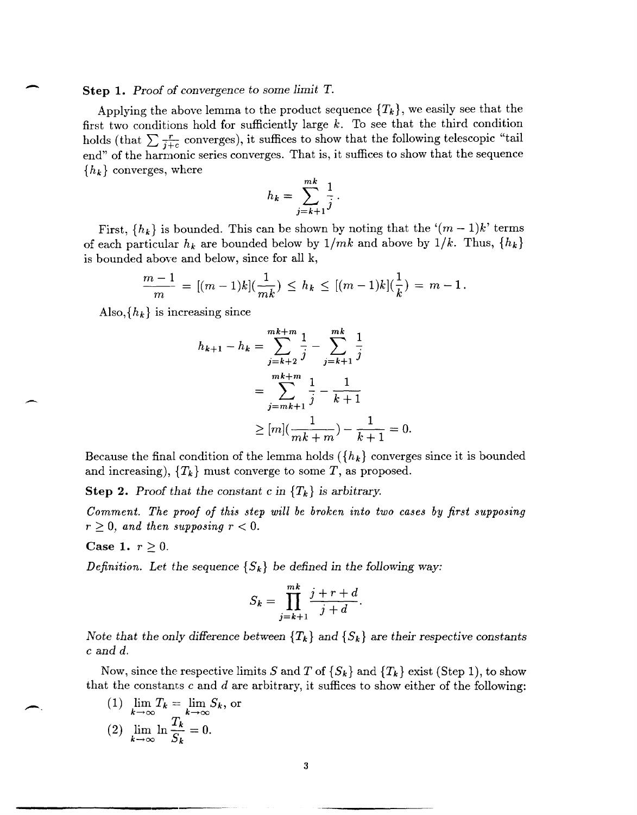#### **Step** 1. *Proof of convergence* to *some limit* T.

-

.-

Applying the above lemma to the product sequence  ${T_k}$ , we easily see that the first two conditions hold for sufficiently large  $k$ . To see that the third condition holds (that  $\sum \frac{r}{i+c}$  converges), it suffices to show that the following telescopic "tail end" of the harmonic series converges. That is, it suffices to show that the sequence  ${h_k}$  converges, where

$$
h_k = \sum_{j=k+1}^{mk} \frac{1}{j}.
$$

First,  ${h_k}$  is bounded. This can be shown by noting that the  $(m-1)k'$  terms of each particular  $h_k$  are bounded below by  $1/mk$  and above by  $1/k$ . Thus,  $\{h_k\}$ 

is bounded above and below, since for all k,  
\n
$$
\frac{m-1}{m} = [(m-1)k](\frac{1}{mk}) \le h_k \le [(m-1)k](\frac{1}{k}) = m-1.
$$

Also,  ${h_k}$  is increasing since

$$
h_{k+1} - h_k = \sum_{j=k+2}^{m+k+m} \frac{1}{j} - \sum_{j=k+1}^{m+k} \frac{1}{j}
$$
  
= 
$$
\sum_{j=mk+1}^{m+k+m} \frac{1}{j} - \frac{1}{k+1}
$$
  

$$
\geq [m] (\frac{1}{mk+m}) - \frac{1}{k+1} = 0.
$$

Because the final condition of the lemma holds  $({h_k}]$  converges since it is bounded and increasing),  ${T_k}$  must converge to some *T*, as proposed.

**Step 2.** Proof that the constant c in  ${T_k}$  is arbitrary.

*Comment. The proof of this step will be broken into two cases by first supposing*   $r \geq 0$ , and then supposing  $r < 0$ .

#### Case 1.  $r \geq 0$ .

--------------\_.\_-

*Definition.* Let the sequence  $\{S_k\}$  be defined in the following way:

$$
S_k = \prod_{j=k+1}^{mk} \frac{j+r+d}{j+d}.
$$

*Note that the only difference between*  ${T_k}$  and  ${S_k}$  are *their respective constants* c and *d.* 

Now, since the respective limits S and T of  $\{S_k\}$  and  $\{T_k\}$  exist (Step 1), to show that the constants c and *d* are arbitrary, it suffices to show either of the following:

(1) 
$$
\lim_{k \to \infty} T_k = \lim_{k \to \infty} S_k, \text{ or}
$$
  
(2) 
$$
\lim_{k \to \infty} \ln \frac{T_k}{S_k} = 0.
$$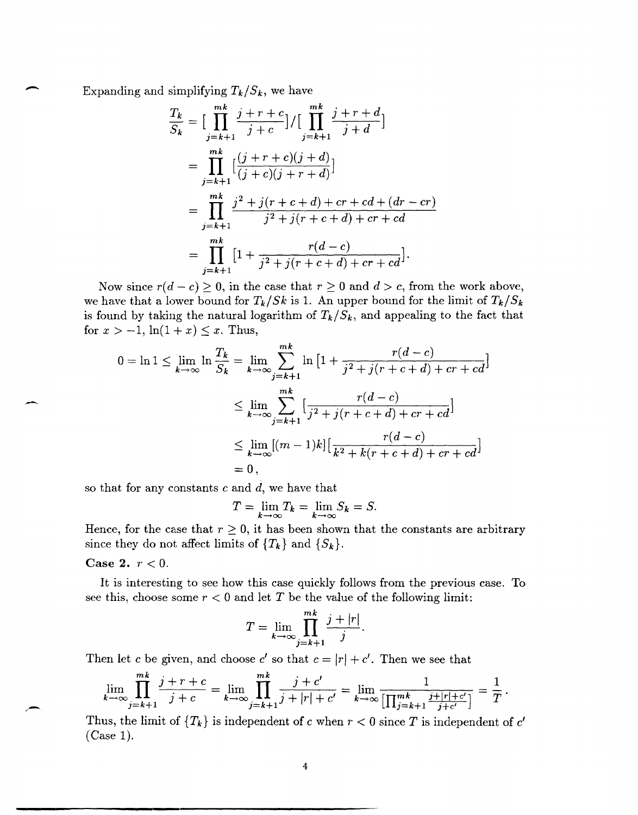Expanding and simplifying 
$$
T_k/S_k
$$
, we have  
\n
$$
\frac{T_k}{S_k} = \Big[\prod_{j=k+1}^{m_k} \frac{j+r+c}{j+c}\Big] / \Big[\prod_{j=k+1}^{m_k} \frac{j+r+d}{j+d}\Big]
$$
\n
$$
= \prod_{j=k+1}^{m_k} \Big[\frac{(j+r+c)(j+d)}{(j+c)(j+r+d)}\Big]
$$
\n
$$
= \prod_{j=k+1}^{m_k} \frac{j^2+j(r+c+d)+cr+cd+(dr-cr)}{j^2+j(r+c+d)+cr+cd}
$$
\n
$$
= \prod_{j=k+1}^{m_k} \Big[1 + \frac{r(d-c)}{j^2+j(r+c+d)+cr+cd}\Big].
$$

Now since  $r(d - c) \ge 0$ , in the case that  $r \ge 0$  and  $d > c$ , from the work above, we have that a lower bound for  $T_k / Sk$  is 1. An upper bound for the limit of  $T_k / S_k$ is found by taking the natural logarithm of  $T_k/S_k$ , and appealing to the fact that for  $x > -1$ ,  $\ln(1 + x) \leq x$ . Thus,

$$
0 = \ln 1 \le \lim_{k \to \infty} \ln \frac{T_k}{S_k} = \lim_{k \to \infty} \sum_{j=k+1}^{mk} \ln \left[ 1 + \frac{r(d-c)}{j^2 + j(r+c+d) + cr + cd} \right]
$$
  

$$
\le \lim_{k \to \infty} \sum_{j=k+1}^{mk} \left[ \frac{r(d-c)}{j^2 + j(r+c+d) + cr + cd} \right]
$$
  

$$
\le \lim_{k \to \infty} [(m-1)k] \left[ \frac{r(d-c)}{k^2 + k(r+c+d) + cr + cd} \right]
$$
  
= 0,

so that for any constants  $c$  and  $d$ , we have that

$$
T = \lim_{k \to \infty} T_k = \lim_{k \to \infty} S_k = S.
$$

Hence, for the case that  $r \geq 0$ , it has been shown that the constants are arbitrary since they do not affect limits of  $\{T_k\}$  and  $\{S_k\}$ .

### **Case 2.**  $r < 0$ .

It is interesting to see how this case quickly follows from the previous case. To see this, choose some  $r < 0$  and let T be the value of the following limit:

$$
T = \lim_{k \to \infty} \prod_{j=k+1}^{mk} \frac{j+|r|}{j}.
$$

Then let *c* be given, and choose *c'* so that  $c = |r| + c'$ . Then we see that  $\frac{mk}{\sqrt{1 + r}}$ ,  $\frac{mk}{\sqrt{1 + r}}$ ,  $\frac{mk}{\sqrt{1 + r}}$ ,  $\frac{nk}{\sqrt{1 + r}}$ ,  $\frac{nk}{\sqrt{1 + r}}$ ,  $\frac{nk}{\sqrt{1 + r}}$ 

$$
\lim_{k \to \infty} \prod_{j=k+1}^{mk} \frac{j+r+c}{j+c} = \lim_{k \to \infty} \prod_{j=k+1}^{mk} \frac{j+c'}{j+|r|+c'} = \lim_{k \to \infty} \frac{1}{\left[\prod_{j=k+1}^{mk} \frac{j+|r|+c'}{j+c'}\right]} = \frac{1}{T}.
$$

Thus, the limit of  ${T_k}$  is independent of c when  $r < 0$  since T is independent of c' (Case 1).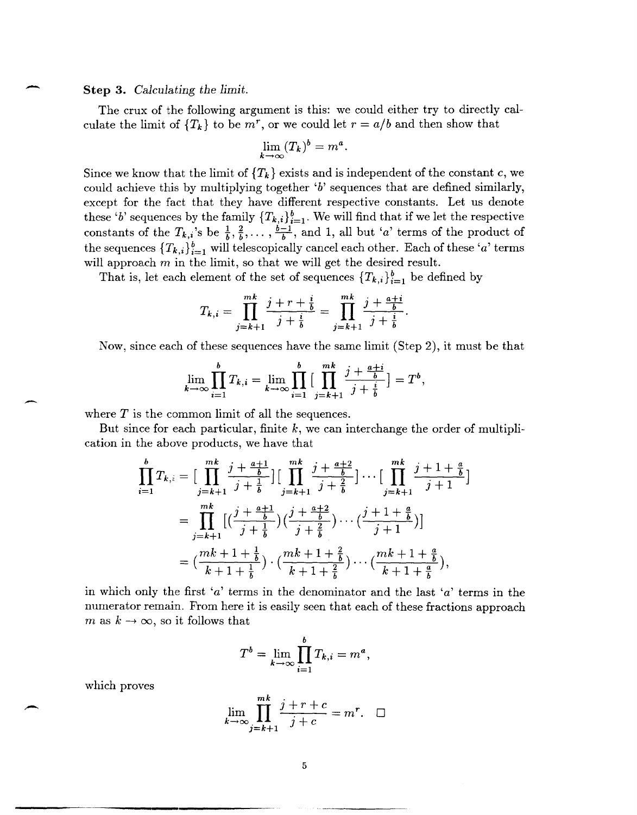**Step 3.** *Calculating the limit.* 

-

-

The crux of the following argument is this: we could either try to directly calculate the limit of  $\{T_k\}$  to be  $m^r$ , or we could let  $r = a/b$  and then show that

$$
\lim_{k \to \infty} (T_k)^b = m^a.
$$

Since we know that the limit of  ${T_k}$  exists and is independent of the constant c, we could achieve this by multiplying together *'b'* sequences that are defined similarly, except for the fact that they have different respective constants. Let us denote these 'b' sequences by the family  $\{T_{k,i}\}_{i=1}^b$ . We will find that if we let the respective constants of the  $T_{k,i}$ 's be  $\frac{1}{b}, \frac{2}{b}, \ldots, \frac{b-1}{b}$ , and 1, all but *'a'* terms of the product of the sequences  ${T_{k,i}}_{i=1}^b$  will telescopically cancel each other. Each of these 'a' terms will approach  $m$  in the limit, so that we will get the desired result.

That is, let each element of the set of sequences  $\{T_{k,i}\}_{i=1}^b$  be defined by

$$
T_{k,i} = \prod_{j=k+1}^{mk} \frac{j+r+i}{j+i} = \prod_{j=k+1}^{mk} \frac{j+\frac{a+i}{b}}{j+\frac{i}{b}}.
$$

Now, since each of these sequences have the same limit (Step 2), it must be that

$$
\lim_{k \to \infty} \prod_{i=1}^{b} T_{k,i} = \lim_{k \to \infty} \prod_{i=1}^{b} \big[ \prod_{j=k+1}^{mk} \frac{j + \frac{a+i}{b}}{j + \frac{i}{b}} \big] = T^{b},
$$

where  $T$  is the common limit of all the sequences.

But since for each particular, finite  $k$ , we can interchange the order of multiplication in the above products, we have that

$$
\prod_{i=1}^{b} T_{k,i} = \Big[ \prod_{j=k+1}^{mk} \frac{j + \frac{a+1}{b}}{j + \frac{1}{b}} \Big] \Big[ \prod_{j=k+1}^{mk} \frac{j + \frac{a+2}{b}}{j + \frac{2}{b}} \Big] \cdots \Big[ \prod_{j=k+1}^{mk} \frac{j+1 + \frac{a}{b}}{j+1} \Big]
$$
\n
$$
= \prod_{j=k+1}^{mk} \Big[ \Big( \frac{j + \frac{a+1}{b}}{j + \frac{1}{b}} \Big) \Big( \frac{j + \frac{a+2}{b}}{j + \frac{2}{b}} \Big) \cdots \Big( \frac{j+1 + \frac{a}{b}}{j+1} \Big) \Big]
$$
\n
$$
= \Big( \frac{mk + 1 + \frac{1}{b}}{k + 1 + \frac{1}{b}} \Big) \cdot \Big( \frac{mk + 1 + \frac{2}{b}}{k + 1 + \frac{2}{b}} \Big) \cdots \Big( \frac{mk + 1 + \frac{a}{b}}{k + 1 + \frac{a}{b}} \Big),
$$

in which only the first *'a'* terms in the denominator and the last *'a'* terms in the numerator remain. From here it is easily seen that each of these fractions approach m as  $k \to \infty$ , so it follows that

$$
T^{b} = \lim_{k \to \infty} \prod_{i=1}^{b} T_{k,i} = m^{a},
$$

which proves

$$
\lim_{k \to \infty} \prod_{j=k+1}^{mk} \frac{j+r+c}{j+c} = m^r. \quad \Box
$$